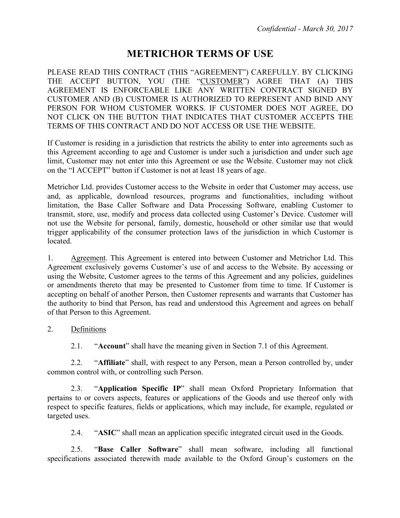# **METRICHOR TERMS OF USE**

PLEASE READ THIS CONTRACT (THIS "AGREEMENT") CAREFULLY. BY CLICKING THE ACCEPT BUTTON, YOU (THE "CUSTOMER") AGREE THAT (A) THIS AGREEMENT IS ENFORCEABLE LIKE ANY WRITTEN CONTRACT SIGNED BY CUSTOMER AND (B) CUSTOMER IS AUTHORIZED TO REPRESENT AND BIND ANY PERSON FOR WHOM CUSTOMER WORKS. IF CUSTOMER DOES NOT AGREE, DO NOT CLICK ON THE BUTTON THAT INDICATES THAT CUSTOMER ACCEPTS THE TERMS OF THIS CONTRACT AND DO NOT ACCESS OR USE THE WEBSITE.

If Customer is residing in a jurisdiction that restricts the ability to enter into agreements such as this Agreement according to age and Customer is under such a jurisdiction and under such age limit, Customer may not enter into this Agreement or use the Website. Customer may not click on the "I ACCEPT" button if Customer is not at least 18 years of age.

Metrichor Ltd. provides Customer access to the Website in order that Customer may access, use and, as applicable, download resources, programs and functionalities, including without limitation, the Base Caller Software and Data Processing Software, enabling Customer to transmit, store, use, modify and process data collected using Customer's Device. Customer will not use the Website for personal, family, domestic, household or other similar use that would trigger applicability of the consumer protection laws of the jurisdiction in which Customer is located.

1. Agreement. This Agreement is entered into between Customer and Metrichor Ltd. This Agreement exclusively governs Customer's use of and access to the Website. By accessing or using the Website, Customer agrees to the terms of this Agreement and any policies, guidelines or amendments thereto that may be presented to Customer from time to time. If Customer is accepting on behalf of another Person, then Customer represents and warrants that Customer has the authority to bind that Person, has read and understood this Agreement and agrees on behalf of that Person to this Agreement.

## 2. Definitions

2.1. "**Account**" shall have the meaning given in Section 7.1 of this Agreement.

2.2. "**Affiliate**" shall, with respect to any Person, mean a Person controlled by, under common control with, or controlling such Person.

2.3. "**Application Specific IP**" shall mean Oxford Proprietary Information that pertains to or covers aspects, features or applications of the Goods and use thereof only with respect to specific features, fields or applications, which may include, for example, regulated or targeted uses.

2.4. "**ASIC**" shall mean an application specific integrated circuit used in the Goods.

2.5. "**Base Caller Software**" shall mean software, including all functional specifications associated therewith made available to the Oxford Group's customers on the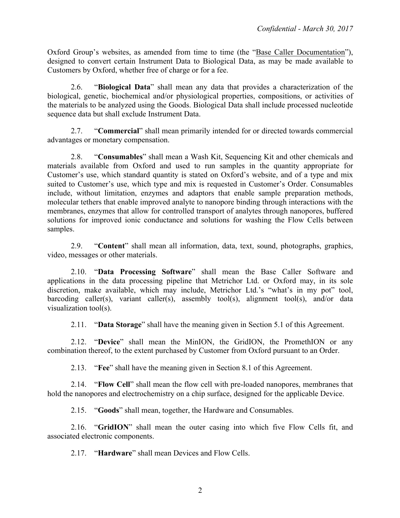Oxford Group's websites, as amended from time to time (the "Base Caller Documentation"), designed to convert certain Instrument Data to Biological Data, as may be made available to Customers by Oxford, whether free of charge or for a fee.

2.6. "**Biological Data**" shall mean any data that provides a characterization of the biological, genetic, biochemical and/or physiological properties, compositions, or activities of the materials to be analyzed using the Goods. Biological Data shall include processed nucleotide sequence data but shall exclude Instrument Data.

2.7. "**Commercial**" shall mean primarily intended for or directed towards commercial advantages or monetary compensation.

2.8. "**Consumables**" shall mean a Wash Kit, Sequencing Kit and other chemicals and materials available from Oxford and used to run samples in the quantity appropriate for Customer's use, which standard quantity is stated on Oxford's website, and of a type and mix suited to Customer's use, which type and mix is requested in Customer's Order. Consumables include, without limitation, enzymes and adaptors that enable sample preparation methods, molecular tethers that enable improved analyte to nanopore binding through interactions with the membranes, enzymes that allow for controlled transport of analytes through nanopores, buffered solutions for improved ionic conductance and solutions for washing the Flow Cells between samples.

2.9. "**Content**" shall mean all information, data, text, sound, photographs, graphics, video, messages or other materials.

2.10. "**Data Processing Software**" shall mean the Base Caller Software and applications in the data processing pipeline that Metrichor Ltd. or Oxford may, in its sole discretion, make available, which may include, Metrichor Ltd.'s "what's in my pot" tool, barcoding caller(s), variant caller(s), assembly tool(s), alignment tool(s), and/or data visualization tool(s).

2.11. "**Data Storage**" shall have the meaning given in Section 5.1 of this Agreement.

2.12. "**Device**" shall mean the MinION, the GridION, the PromethION or any combination thereof, to the extent purchased by Customer from Oxford pursuant to an Order.

2.13. "**Fee**" shall have the meaning given in Section 8.1 of this Agreement.

2.14. "**Flow Cell**" shall mean the flow cell with pre-loaded nanopores, membranes that hold the nanopores and electrochemistry on a chip surface, designed for the applicable Device.

2.15. "**Goods**" shall mean, together, the Hardware and Consumables.

2.16. "**GridION**" shall mean the outer casing into which five Flow Cells fit, and associated electronic components.

2.17. "**Hardware**" shall mean Devices and Flow Cells.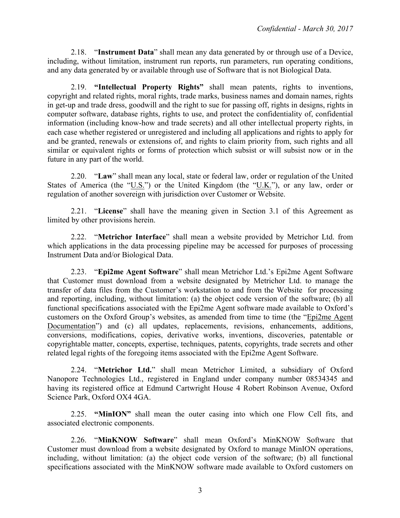2.18. "**Instrument Data**" shall mean any data generated by or through use of a Device, including, without limitation, instrument run reports, run parameters, run operating conditions, and any data generated by or available through use of Software that is not Biological Data.

2.19. **"Intellectual Property Rights"** shall mean patents, rights to inventions, copyright and related rights, moral rights, trade marks, business names and domain names, rights in get-up and trade dress, goodwill and the right to sue for passing off, rights in designs, rights in computer software, database rights, rights to use, and protect the confidentiality of, confidential information (including know-how and trade secrets) and all other intellectual property rights, in each case whether registered or unregistered and including all applications and rights to apply for and be granted, renewals or extensions of, and rights to claim priority from, such rights and all similar or equivalent rights or forms of protection which subsist or will subsist now or in the future in any part of the world.

2.20. "**Law**" shall mean any local, state or federal law, order or regulation of the United States of America (the " $U.S.'$ ) or the United Kingdom (the " $U.K.'$ ), or any law, order or regulation of another sovereign with jurisdiction over Customer or Website.

2.21. "**License**" shall have the meaning given in Section 3.1 of this Agreement as limited by other provisions herein.

2.22. "**Metrichor Interface**" shall mean a website provided by Metrichor Ltd. from which applications in the data processing pipeline may be accessed for purposes of processing Instrument Data and/or Biological Data.

2.23. "**Epi2me Agent Software**" shall mean Metrichor Ltd.'s Epi2me Agent Software that Customer must download from a website designated by Metrichor Ltd. to manage the transfer of data files from the Customer's workstation to and from the Website for processing and reporting, including, without limitation: (a) the object code version of the software; (b) all functional specifications associated with the Epi2me Agent software made available to Oxford's customers on the Oxford Group's websites, as amended from time to time (the "Epi2me Agent Documentation") and (c) all updates, replacements, revisions, enhancements, additions, conversions, modifications, copies, derivative works, inventions, discoveries, patentable or copyrightable matter, concepts, expertise, techniques, patents, copyrights, trade secrets and other related legal rights of the foregoing items associated with the Epi2me Agent Software.

2.24. "**Metrichor Ltd.**" shall mean Metrichor Limited, a subsidiary of Oxford Nanopore Technologies Ltd., registered in England under company number 08534345 and having its registered office at Edmund Cartwright House 4 Robert Robinson Avenue, Oxford Science Park, Oxford OX4 4GA.

2.25. **"MinION"** shall mean the outer casing into which one Flow Cell fits, and associated electronic components.

2.26. "**MinKNOW Software**" shall mean Oxford's MinKNOW Software that Customer must download from a website designated by Oxford to manage MinION operations, including, without limitation: (a) the object code version of the software; (b) all functional specifications associated with the MinKNOW software made available to Oxford customers on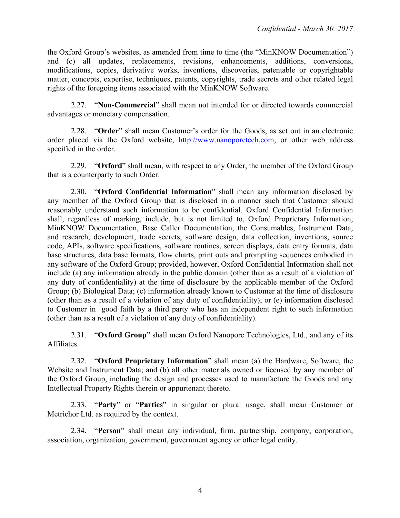the Oxford Group's websites, as amended from time to time (the "MinKNOW Documentation") and (c) all updates, replacements, revisions, enhancements, additions, conversions, modifications, copies, derivative works, inventions, discoveries, patentable or copyrightable matter, concepts, expertise, techniques, patents, copyrights, trade secrets and other related legal rights of the foregoing items associated with the MinKNOW Software.

2.27. "**Non-Commercial**" shall mean not intended for or directed towards commercial advantages or monetary compensation.

2.28. "**Order**" shall mean Customer's order for the Goods, as set out in an electronic order placed via the Oxford website, http://www.nanoporetech.com, or other web address specified in the order.

2.29. "**Oxford**" shall mean, with respect to any Order, the member of the Oxford Group that is a counterparty to such Order.

2.30. "**Oxford Confidential Information**" shall mean any information disclosed by any member of the Oxford Group that is disclosed in a manner such that Customer should reasonably understand such information to be confidential. Oxford Confidential Information shall, regardless of marking, include, but is not limited to, Oxford Proprietary Information, MinKNOW Documentation, Base Caller Documentation, the Consumables, Instrument Data, and research, development, trade secrets, software design, data collection, inventions, source code, APIs, software specifications, software routines, screen displays, data entry formats, data base structures, data base formats, flow charts, print outs and prompting sequences embodied in any software of the Oxford Group; provided, however, Oxford Confidential Information shall not include (a) any information already in the public domain (other than as a result of a violation of any duty of confidentiality) at the time of disclosure by the applicable member of the Oxford Group; (b) Biological Data; (c) information already known to Customer at the time of disclosure (other than as a result of a violation of any duty of confidentiality); or (e) information disclosed to Customer in good faith by a third party who has an independent right to such information (other than as a result of a violation of any duty of confidentiality).

2.31. "**Oxford Group**" shall mean Oxford Nanopore Technologies, Ltd., and any of its Affiliates.

2.32. "**Oxford Proprietary Information**" shall mean (a) the Hardware, Software, the Website and Instrument Data; and (b) all other materials owned or licensed by any member of the Oxford Group, including the design and processes used to manufacture the Goods and any Intellectual Property Rights therein or appurtenant thereto.

2.33. "**Party**" or "**Parties**" in singular or plural usage, shall mean Customer or Metrichor Ltd. as required by the context.

2.34. "**Person**" shall mean any individual, firm, partnership, company, corporation, association, organization, government, government agency or other legal entity.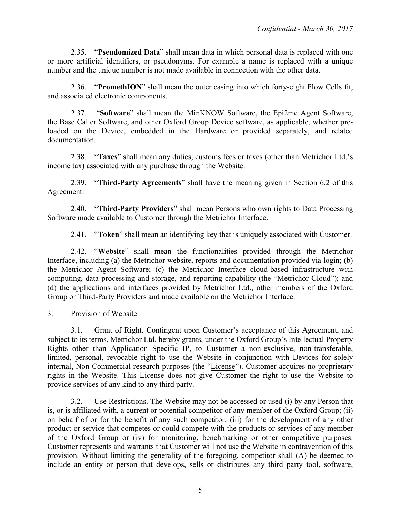2.35. "**Pseudomized Data**" shall mean data in which personal data is replaced with one or more artificial identifiers, or pseudonyms. For example a name is replaced with a unique number and the unique number is not made available in connection with the other data.

2.36. "**PromethION**" shall mean the outer casing into which forty-eight Flow Cells fit, and associated electronic components.

2.37. "**Software**" shall mean the MinKNOW Software, the Epi2me Agent Software, the Base Caller Software, and other Oxford Group Device software, as applicable, whether preloaded on the Device, embedded in the Hardware or provided separately, and related documentation.

2.38. "**Taxes**" shall mean any duties, customs fees or taxes (other than Metrichor Ltd.'s income tax) associated with any purchase through the Website.

2.39. "**Third-Party Agreements**" shall have the meaning given in Section 6.2 of this Agreement.

2.40. "**Third-Party Providers**" shall mean Persons who own rights to Data Processing Software made available to Customer through the Metrichor Interface.

2.41. "**Token**" shall mean an identifying key that is uniquely associated with Customer.

2.42. "**Website**" shall mean the functionalities provided through the Metrichor Interface, including (a) the Metrichor website, reports and documentation provided via login; (b) the Metrichor Agent Software; (c) the Metrichor Interface cloud-based infrastructure with computing, data processing and storage, and reporting capability (the "Metrichor Cloud"); and (d) the applications and interfaces provided by Metrichor Ltd., other members of the Oxford Group or Third-Party Providers and made available on the Metrichor Interface.

3. Provision of Website

3.1. Grant of Right. Contingent upon Customer's acceptance of this Agreement, and subject to its terms, Metrichor Ltd. hereby grants, under the Oxford Group's Intellectual Property Rights other than Application Specific IP, to Customer a non-exclusive, non-transferable, limited, personal, revocable right to use the Website in conjunction with Devices for solely internal, Non-Commercial research purposes (the "License"). Customer acquires no proprietary rights in the Website. This License does not give Customer the right to use the Website to provide services of any kind to any third party.

3.2. Use Restrictions. The Website may not be accessed or used (i) by any Person that is, or is affiliated with, a current or potential competitor of any member of the Oxford Group; (ii) on behalf of or for the benefit of any such competitor; (iii) for the development of any other product or service that competes or could compete with the products or services of any member of the Oxford Group or (iv) for monitoring, benchmarking or other competitive purposes. Customer represents and warrants that Customer will not use the Website in contravention of this provision. Without limiting the generality of the foregoing, competitor shall (A) be deemed to include an entity or person that develops, sells or distributes any third party tool, software,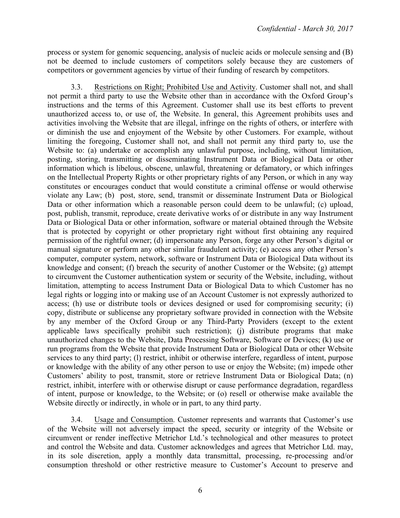process or system for genomic sequencing, analysis of nucleic acids or molecule sensing and (B) not be deemed to include customers of competitors solely because they are customers of competitors or government agencies by virtue of their funding of research by competitors.

3.3. Restrictions on Right; Prohibited Use and Activity. Customer shall not, and shall not permit a third party to use the Website other than in accordance with the Oxford Group's instructions and the terms of this Agreement. Customer shall use its best efforts to prevent unauthorized access to, or use of, the Website. In general, this Agreement prohibits uses and activities involving the Website that are illegal, infringe on the rights of others, or interfere with or diminish the use and enjoyment of the Website by other Customers. For example, without limiting the foregoing, Customer shall not, and shall not permit any third party to, use the Website to: (a) undertake or accomplish any unlawful purpose, including, without limitation, posting, storing, transmitting or disseminating Instrument Data or Biological Data or other information which is libelous, obscene, unlawful, threatening or defamatory, or which infringes on the Intellectual Property Rights or other proprietary rights of any Person, or which in any way constitutes or encourages conduct that would constitute a criminal offense or would otherwise violate any Law; (b) post, store, send, transmit or disseminate Instrument Data or Biological Data or other information which a reasonable person could deem to be unlawful; (c) upload, post, publish, transmit, reproduce, create derivative works of or distribute in any way Instrument Data or Biological Data or other information, software or material obtained through the Website that is protected by copyright or other proprietary right without first obtaining any required permission of the rightful owner; (d) impersonate any Person, forge any other Person's digital or manual signature or perform any other similar fraudulent activity; (e) access any other Person's computer, computer system, network, software or Instrument Data or Biological Data without its knowledge and consent; (f) breach the security of another Customer or the Website; (g) attempt to circumvent the Customer authentication system or security of the Website, including, without limitation, attempting to access Instrument Data or Biological Data to which Customer has no legal rights or logging into or making use of an Account Customer is not expressly authorized to access; (h) use or distribute tools or devices designed or used for compromising security; (i) copy, distribute or sublicense any proprietary software provided in connection with the Website by any member of the Oxford Group or any Third-Party Providers (except to the extent applicable laws specifically prohibit such restriction); (j) distribute programs that make unauthorized changes to the Website, Data Processing Software, Software or Devices; (k) use or run programs from the Website that provide Instrument Data or Biological Data or other Website services to any third party; (l) restrict, inhibit or otherwise interfere, regardless of intent, purpose or knowledge with the ability of any other person to use or enjoy the Website; (m) impede other Customers' ability to post, transmit, store or retrieve Instrument Data or Biological Data; (n) restrict, inhibit, interfere with or otherwise disrupt or cause performance degradation, regardless of intent, purpose or knowledge, to the Website; or (o) resell or otherwise make available the Website directly or indirectly, in whole or in part, to any third party.

3.4. Usage and Consumption. Customer represents and warrants that Customer's use of the Website will not adversely impact the speed, security or integrity of the Website or circumvent or render ineffective Metrichor Ltd.'s technological and other measures to protect and control the Website and data. Customer acknowledges and agrees that Metrichor Ltd. may, in its sole discretion, apply a monthly data transmittal, processing, re-processing and/or consumption threshold or other restrictive measure to Customer's Account to preserve and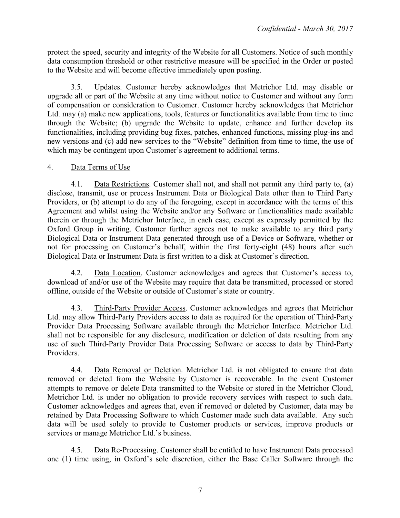protect the speed, security and integrity of the Website for all Customers. Notice of such monthly data consumption threshold or other restrictive measure will be specified in the Order or posted to the Website and will become effective immediately upon posting.

3.5. Updates. Customer hereby acknowledges that Metrichor Ltd. may disable or upgrade all or part of the Website at any time without notice to Customer and without any form of compensation or consideration to Customer. Customer hereby acknowledges that Metrichor Ltd. may (a) make new applications, tools, features or functionalities available from time to time through the Website; (b) upgrade the Website to update, enhance and further develop its functionalities, including providing bug fixes, patches, enhanced functions, missing plug-ins and new versions and (c) add new services to the "Website" definition from time to time, the use of which may be contingent upon Customer's agreement to additional terms.

## 4. Data Terms of Use

4.1. Data Restrictions. Customer shall not, and shall not permit any third party to, (a) disclose, transmit, use or process Instrument Data or Biological Data other than to Third Party Providers, or (b) attempt to do any of the foregoing, except in accordance with the terms of this Agreement and whilst using the Website and/or any Software or functionalities made available therein or through the Metrichor Interface, in each case, except as expressly permitted by the Oxford Group in writing. Customer further agrees not to make available to any third party Biological Data or Instrument Data generated through use of a Device or Software, whether or not for processing on Customer's behalf, within the first forty-eight (48) hours after such Biological Data or Instrument Data is first written to a disk at Customer's direction.

4.2. Data Location. Customer acknowledges and agrees that Customer's access to, download of and/or use of the Website may require that data be transmitted, processed or stored offline, outside of the Website or outside of Customer's state or country.

4.3. Third-Party Provider Access. Customer acknowledges and agrees that Metrichor Ltd. may allow Third-Party Providers access to data as required for the operation of Third-Party Provider Data Processing Software available through the Metrichor Interface. Metrichor Ltd. shall not be responsible for any disclosure, modification or deletion of data resulting from any use of such Third-Party Provider Data Processing Software or access to data by Third-Party Providers.

4.4. Data Removal or Deletion. Metrichor Ltd. is not obligated to ensure that data removed or deleted from the Website by Customer is recoverable. In the event Customer attempts to remove or delete Data transmitted to the Website or stored in the Metrichor Cloud, Metrichor Ltd. is under no obligation to provide recovery services with respect to such data. Customer acknowledges and agrees that, even if removed or deleted by Customer, data may be retained by Data Processing Software to which Customer made such data available. Any such data will be used solely to provide to Customer products or services, improve products or services or manage Metrichor Ltd.'s business.

4.5. Data Re-Processing. Customer shall be entitled to have Instrument Data processed one (1) time using, in Oxford's sole discretion, either the Base Caller Software through the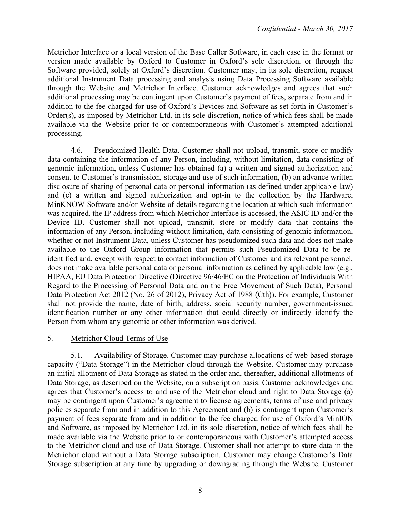Metrichor Interface or a local version of the Base Caller Software, in each case in the format or version made available by Oxford to Customer in Oxford's sole discretion, or through the Software provided, solely at Oxford's discretion. Customer may, in its sole discretion, request additional Instrument Data processing and analysis using Data Processing Software available through the Website and Metrichor Interface. Customer acknowledges and agrees that such additional processing may be contingent upon Customer's payment of fees, separate from and in addition to the fee charged for use of Oxford's Devices and Software as set forth in Customer's Order(s), as imposed by Metrichor Ltd. in its sole discretion, notice of which fees shall be made available via the Website prior to or contemporaneous with Customer's attempted additional processing.

4.6. Pseudomized Health Data. Customer shall not upload, transmit, store or modify data containing the information of any Person, including, without limitation, data consisting of genomic information, unless Customer has obtained (a) a written and signed authorization and consent to Customer's transmission, storage and use of such information, (b) an advance written disclosure of sharing of personal data or personal information (as defined under applicable law) and (c) a written and signed authorization and opt-in to the collection by the Hardware, MinKNOW Software and/or Website of details regarding the location at which such information was acquired, the IP address from which Metrichor Interface is accessed, the ASIC ID and/or the Device ID. Customer shall not upload, transmit, store or modify data that contains the information of any Person, including without limitation, data consisting of genomic information, whether or not Instrument Data, unless Customer has pseudomized such data and does not make available to the Oxford Group information that permits such Pseudomized Data to be reidentified and, except with respect to contact information of Customer and its relevant personnel, does not make available personal data or personal information as defined by applicable law (e.g., HIPAA, EU Data Protection Directive (Directive 96/46/EC on the Protection of Individuals With Regard to the Processing of Personal Data and on the Free Movement of Such Data), Personal Data Protection Act 2012 (No. 26 of 2012), Privacy Act of 1988 (Cth)). For example, Customer shall not provide the name, date of birth, address, social security number, government-issued identification number or any other information that could directly or indirectly identify the Person from whom any genomic or other information was derived.

#### 5. Metrichor Cloud Terms of Use

5.1. Availability of Storage. Customer may purchase allocations of web-based storage capacity ("Data Storage") in the Metrichor cloud through the Website. Customer may purchase an initial allotment of Data Storage as stated in the order and, thereafter, additional allotments of Data Storage, as described on the Website, on a subscription basis. Customer acknowledges and agrees that Customer's access to and use of the Metrichor cloud and right to Data Storage (a) may be contingent upon Customer's agreement to license agreements, terms of use and privacy policies separate from and in addition to this Agreement and (b) is contingent upon Customer's payment of fees separate from and in addition to the fee charged for use of Oxford's MinION and Software, as imposed by Metrichor Ltd. in its sole discretion, notice of which fees shall be made available via the Website prior to or contemporaneous with Customer's attempted access to the Metrichor cloud and use of Data Storage. Customer shall not attempt to store data in the Metrichor cloud without a Data Storage subscription. Customer may change Customer's Data Storage subscription at any time by upgrading or downgrading through the Website. Customer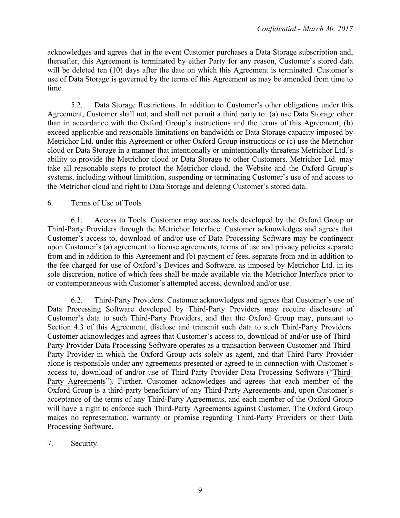acknowledges and agrees that in the event Customer purchases a Data Storage subscription and, thereafter, this Agreement is terminated by either Party for any reason, Customer's stored data will be deleted ten (10) days after the date on which this Agreement is terminated. Customer's use of Data Storage is governed by the terms of this Agreement as may be amended from time to time.

5.2. Data Storage Restrictions. In addition to Customer's other obligations under this Agreement, Customer shall not, and shall not permit a third party to: (a) use Data Storage other than in accordance with the Oxford Group's instructions and the terms of this Agreement; (b) exceed applicable and reasonable limitations on bandwidth or Data Storage capacity imposed by Metrichor Ltd. under this Agreement or other Oxford Group instructions or (c) use the Metrichor cloud or Data Storage in a manner that intentionally or unintentionally threatens Metrichor Ltd.'s ability to provide the Metrichor cloud or Data Storage to other Customers. Metrichor Ltd. may take all reasonable steps to protect the Metrichor cloud, the Website and the Oxford Group's systems, including without limitation, suspending or terminating Customer's use of and access to the Metrichor cloud and right to Data Storage and deleting Customer's stored data.

# 6. Terms of Use of Tools

6.1. Access to Tools. Customer may access tools developed by the Oxford Group or Third-Party Providers through the Metrichor Interface. Customer acknowledges and agrees that Customer's access to, download of and/or use of Data Processing Software may be contingent upon Customer's (a) agreement to license agreements, terms of use and privacy policies separate from and in addition to this Agreement and (b) payment of fees, separate from and in addition to the fee charged for use of Oxford's Devices and Software, as imposed by Metrichor Ltd. in its sole discretion, notice of which fees shall be made available via the Metrichor Interface prior to or contemporaneous with Customer's attempted access, download and/or use.

6.2. Third-Party Providers. Customer acknowledges and agrees that Customer's use of Data Processing Software developed by Third-Party Providers may require disclosure of Customer's data to such Third-Party Providers, and that the Oxford Group may, pursuant to Section 4.3 of this Agreement, disclose and transmit such data to such Third-Party Providers. Customer acknowledges and agrees that Customer's access to, download of and/or use of Third-Party Provider Data Processing Software operates as a transaction between Customer and Third-Party Provider in which the Oxford Group acts solely as agent, and that Third-Party Provider alone is responsible under any agreements presented or agreed to in connection with Customer's access to, download of and/or use of Third-Party Provider Data Processing Software ("Third-Party Agreements"). Further, Customer acknowledges and agrees that each member of the Oxford Group is a third-party beneficiary of any Third-Party Agreements and, upon Customer's acceptance of the terms of any Third-Party Agreements, and each member of the Oxford Group will have a right to enforce such Third-Party Agreements against Customer. The Oxford Group makes no representation, warranty or promise regarding Third-Party Providers or their Data Processing Software.

7. Security.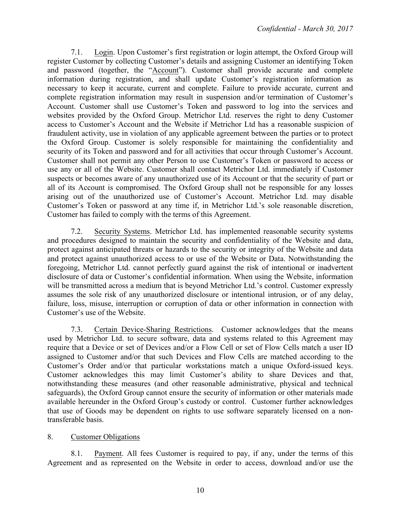7.1. Login. Upon Customer's first registration or login attempt, the Oxford Group will register Customer by collecting Customer's details and assigning Customer an identifying Token and password (together, the "Account"). Customer shall provide accurate and complete information during registration, and shall update Customer's registration information as necessary to keep it accurate, current and complete. Failure to provide accurate, current and complete registration information may result in suspension and/or termination of Customer's Account. Customer shall use Customer's Token and password to log into the services and websites provided by the Oxford Group. Metrichor Ltd. reserves the right to deny Customer access to Customer's Account and the Website if Metrichor Ltd has a reasonable suspicion of fraudulent activity, use in violation of any applicable agreement between the parties or to protect the Oxford Group. Customer is solely responsible for maintaining the confidentiality and security of its Token and password and for all activities that occur through Customer's Account. Customer shall not permit any other Person to use Customer's Token or password to access or use any or all of the Website. Customer shall contact Metrichor Ltd. immediately if Customer suspects or becomes aware of any unauthorized use of its Account or that the security of part or all of its Account is compromised. The Oxford Group shall not be responsible for any losses arising out of the unauthorized use of Customer's Account. Metrichor Ltd. may disable Customer's Token or password at any time if, in Metrichor Ltd.'s sole reasonable discretion, Customer has failed to comply with the terms of this Agreement.

7.2. Security Systems. Metrichor Ltd. has implemented reasonable security systems and procedures designed to maintain the security and confidentiality of the Website and data, protect against anticipated threats or hazards to the security or integrity of the Website and data and protect against unauthorized access to or use of the Website or Data. Notwithstanding the foregoing, Metrichor Ltd. cannot perfectly guard against the risk of intentional or inadvertent disclosure of data or Customer's confidential information. When using the Website, information will be transmitted across a medium that is beyond Metrichor Ltd.'s control. Customer expressly assumes the sole risk of any unauthorized disclosure or intentional intrusion, or of any delay, failure, loss, misuse, interruption or corruption of data or other information in connection with Customer's use of the Website.

7.3. Certain Device-Sharing Restrictions. Customer acknowledges that the means used by Metrichor Ltd. to secure software, data and systems related to this Agreement may require that a Device or set of Devices and/or a Flow Cell or set of Flow Cells match a user ID assigned to Customer and/or that such Devices and Flow Cells are matched according to the Customer's Order and/or that particular workstations match a unique Oxford-issued keys. Customer acknowledges this may limit Customer's ability to share Devices and that, notwithstanding these measures (and other reasonable administrative, physical and technical safeguards), the Oxford Group cannot ensure the security of information or other materials made available hereunder in the Oxford Group's custody or control. Customer further acknowledges that use of Goods may be dependent on rights to use software separately licensed on a nontransferable basis.

## 8. Customer Obligations

8.1. Payment. All fees Customer is required to pay, if any, under the terms of this Agreement and as represented on the Website in order to access, download and/or use the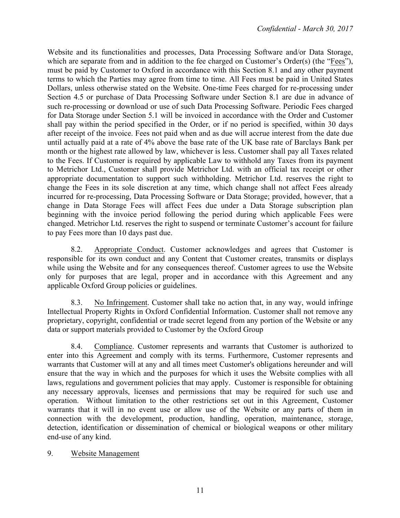Website and its functionalities and processes, Data Processing Software and/or Data Storage, which are separate from and in addition to the fee charged on Customer's Order(s) (the "Fees"), must be paid by Customer to Oxford in accordance with this Section 8.1 and any other payment terms to which the Parties may agree from time to time. All Fees must be paid in United States Dollars, unless otherwise stated on the Website. One-time Fees charged for re-processing under Section 4.5 or purchase of Data Processing Software under Section 8.1 are due in advance of such re-processing or download or use of such Data Processing Software. Periodic Fees charged for Data Storage under Section 5.1 will be invoiced in accordance with the Order and Customer shall pay within the period specified in the Order, or if no period is specified, within 30 days after receipt of the invoice. Fees not paid when and as due will accrue interest from the date due until actually paid at a rate of 4% above the base rate of the UK base rate of Barclays Bank per month or the highest rate allowed by law, whichever is less. Customer shall pay all Taxes related to the Fees. If Customer is required by applicable Law to withhold any Taxes from its payment to Metrichor Ltd., Customer shall provide Metrichor Ltd. with an official tax receipt or other appropriate documentation to support such withholding. Metrichor Ltd. reserves the right to change the Fees in its sole discretion at any time, which change shall not affect Fees already incurred for re-processing, Data Processing Software or Data Storage; provided, however, that a change in Data Storage Fees will affect Fees due under a Data Storage subscription plan beginning with the invoice period following the period during which applicable Fees were changed. Metrichor Ltd. reserves the right to suspend or terminate Customer's account for failure to pay Fees more than 10 days past due.

8.2. Appropriate Conduct. Customer acknowledges and agrees that Customer is responsible for its own conduct and any Content that Customer creates, transmits or displays while using the Website and for any consequences thereof. Customer agrees to use the Website only for purposes that are legal, proper and in accordance with this Agreement and any applicable Oxford Group policies or guidelines.

8.3. No Infringement. Customer shall take no action that, in any way, would infringe Intellectual Property Rights in Oxford Confidential Information. Customer shall not remove any proprietary, copyright, confidential or trade secret legend from any portion of the Website or any data or support materials provided to Customer by the Oxford Group

8.4. Compliance. Customer represents and warrants that Customer is authorized to enter into this Agreement and comply with its terms. Furthermore, Customer represents and warrants that Customer will at any and all times meet Customer's obligations hereunder and will ensure that the way in which and the purposes for which it uses the Website complies with all laws, regulations and government policies that may apply. Customer is responsible for obtaining any necessary approvals, licenses and permissions that may be required for such use and operation. Without limitation to the other restrictions set out in this Agreement, Customer warrants that it will in no event use or allow use of the Website or any parts of them in connection with the development, production, handling, operation, maintenance, storage, detection, identification or dissemination of chemical or biological weapons or other military end-use of any kind.

#### 9. Website Management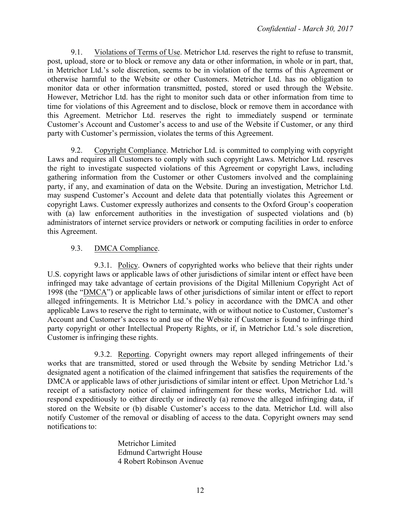9.1. Violations of Terms of Use. Metrichor Ltd. reserves the right to refuse to transmit, post, upload, store or to block or remove any data or other information, in whole or in part, that, in Metrichor Ltd.'s sole discretion, seems to be in violation of the terms of this Agreement or otherwise harmful to the Website or other Customers. Metrichor Ltd. has no obligation to monitor data or other information transmitted, posted, stored or used through the Website. However, Metrichor Ltd. has the right to monitor such data or other information from time to time for violations of this Agreement and to disclose, block or remove them in accordance with this Agreement. Metrichor Ltd. reserves the right to immediately suspend or terminate Customer's Account and Customer's access to and use of the Website if Customer, or any third party with Customer's permission, violates the terms of this Agreement.

9.2. Copyright Compliance. Metrichor Ltd. is committed to complying with copyright Laws and requires all Customers to comply with such copyright Laws. Metrichor Ltd. reserves the right to investigate suspected violations of this Agreement or copyright Laws, including gathering information from the Customer or other Customers involved and the complaining party, if any, and examination of data on the Website. During an investigation, Metrichor Ltd. may suspend Customer's Account and delete data that potentially violates this Agreement or copyright Laws. Customer expressly authorizes and consents to the Oxford Group's cooperation with (a) law enforcement authorities in the investigation of suspected violations and (b) administrators of internet service providers or network or computing facilities in order to enforce this Agreement.

## 9.3. DMCA Compliance.

9.3.1. Policy. Owners of copyrighted works who believe that their rights under U.S. copyright laws or applicable laws of other jurisdictions of similar intent or effect have been infringed may take advantage of certain provisions of the Digital Millenium Copyright Act of 1998 (the "DMCA") or applicable laws of other jurisdictions of similar intent or effect to report alleged infringements. It is Metrichor Ltd.'s policy in accordance with the DMCA and other applicable Laws to reserve the right to terminate, with or without notice to Customer, Customer's Account and Customer's access to and use of the Website if Customer is found to infringe third party copyright or other Intellectual Property Rights, or if, in Metrichor Ltd.'s sole discretion, Customer is infringing these rights.

9.3.2. Reporting. Copyright owners may report alleged infringements of their works that are transmitted, stored or used through the Website by sending Metrichor Ltd.'s designated agent a notification of the claimed infringement that satisfies the requirements of the DMCA or applicable laws of other jurisdictions of similar intent or effect. Upon Metrichor Ltd.'s receipt of a satisfactory notice of claimed infringement for these works, Metrichor Ltd. will respond expeditiously to either directly or indirectly (a) remove the alleged infringing data, if stored on the Website or (b) disable Customer's access to the data. Metrichor Ltd. will also notify Customer of the removal or disabling of access to the data. Copyright owners may send notifications to:

> Metrichor Limited Edmund Cartwright House 4 Robert Robinson Avenue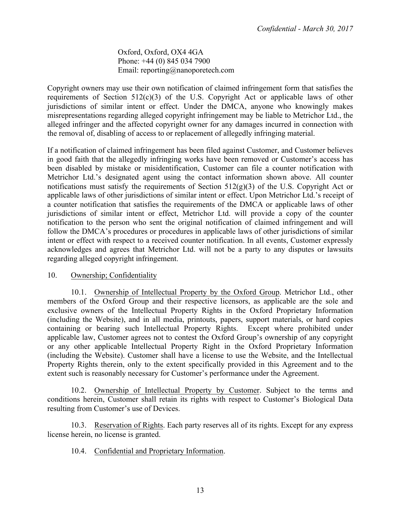Oxford, Oxford, OX4 4GA Phone: +44 (0) 845 034 7900 Email: reporting@nanoporetech.com

Copyright owners may use their own notification of claimed infringement form that satisfies the requirements of Section  $512(c)(3)$  of the U.S. Copyright Act or applicable laws of other jurisdictions of similar intent or effect. Under the DMCA, anyone who knowingly makes misrepresentations regarding alleged copyright infringement may be liable to Metrichor Ltd., the alleged infringer and the affected copyright owner for any damages incurred in connection with the removal of, disabling of access to or replacement of allegedly infringing material.

If a notification of claimed infringement has been filed against Customer, and Customer believes in good faith that the allegedly infringing works have been removed or Customer's access has been disabled by mistake or misidentification, Customer can file a counter notification with Metrichor Ltd.'s designated agent using the contact information shown above. All counter notifications must satisfy the requirements of Section  $512(g)(3)$  of the U.S. Copyright Act or applicable laws of other jurisdictions of similar intent or effect. Upon Metrichor Ltd.'s receipt of a counter notification that satisfies the requirements of the DMCA or applicable laws of other jurisdictions of similar intent or effect, Metrichor Ltd. will provide a copy of the counter notification to the person who sent the original notification of claimed infringement and will follow the DMCA's procedures or procedures in applicable laws of other jurisdictions of similar intent or effect with respect to a received counter notification. In all events, Customer expressly acknowledges and agrees that Metrichor Ltd. will not be a party to any disputes or lawsuits regarding alleged copyright infringement.

#### 10. Ownership; Confidentiality

10.1. Ownership of Intellectual Property by the Oxford Group. Metrichor Ltd., other members of the Oxford Group and their respective licensors, as applicable are the sole and exclusive owners of the Intellectual Property Rights in the Oxford Proprietary Information (including the Website), and in all media, printouts, papers, support materials, or hard copies containing or bearing such Intellectual Property Rights. Except where prohibited under applicable law, Customer agrees not to contest the Oxford Group's ownership of any copyright or any other applicable Intellectual Property Right in the Oxford Proprietary Information (including the Website). Customer shall have a license to use the Website, and the Intellectual Property Rights therein, only to the extent specifically provided in this Agreement and to the extent such is reasonably necessary for Customer's performance under the Agreement.

10.2. Ownership of Intellectual Property by Customer. Subject to the terms and conditions herein, Customer shall retain its rights with respect to Customer's Biological Data resulting from Customer's use of Devices.

10.3. Reservation of Rights. Each party reserves all of its rights. Except for any express license herein, no license is granted.

10.4. Confidential and Proprietary Information.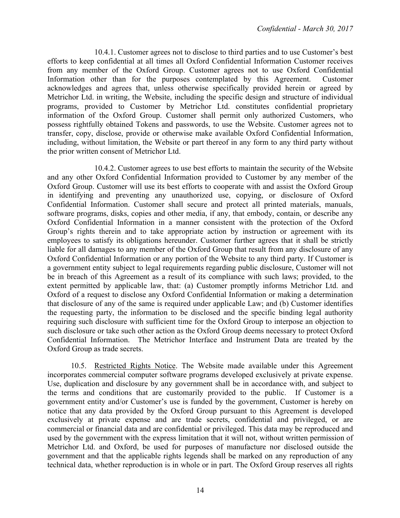10.4.1. Customer agrees not to disclose to third parties and to use Customer's best efforts to keep confidential at all times all Oxford Confidential Information Customer receives from any member of the Oxford Group. Customer agrees not to use Oxford Confidential Information other than for the purposes contemplated by this Agreement. Customer acknowledges and agrees that, unless otherwise specifically provided herein or agreed by Metrichor Ltd. in writing, the Website, including the specific design and structure of individual programs, provided to Customer by Metrichor Ltd. constitutes confidential proprietary information of the Oxford Group. Customer shall permit only authorized Customers, who possess rightfully obtained Tokens and passwords, to use the Website. Customer agrees not to transfer, copy, disclose, provide or otherwise make available Oxford Confidential Information, including, without limitation, the Website or part thereof in any form to any third party without the prior written consent of Metrichor Ltd.

10.4.2. Customer agrees to use best efforts to maintain the security of the Website and any other Oxford Confidential Information provided to Customer by any member of the Oxford Group. Customer will use its best efforts to cooperate with and assist the Oxford Group in identifying and preventing any unauthorized use, copying, or disclosure of Oxford Confidential Information. Customer shall secure and protect all printed materials, manuals, software programs, disks, copies and other media, if any, that embody, contain, or describe any Oxford Confidential Information in a manner consistent with the protection of the Oxford Group's rights therein and to take appropriate action by instruction or agreement with its employees to satisfy its obligations hereunder. Customer further agrees that it shall be strictly liable for all damages to any member of the Oxford Group that result from any disclosure of any Oxford Confidential Information or any portion of the Website to any third party. If Customer is a government entity subject to legal requirements regarding public disclosure, Customer will not be in breach of this Agreement as a result of its compliance with such laws; provided, to the extent permitted by applicable law, that: (a) Customer promptly informs Metrichor Ltd. and Oxford of a request to disclose any Oxford Confidential Information or making a determination that disclosure of any of the same is required under applicable Law; and (b) Customer identifies the requesting party, the information to be disclosed and the specific binding legal authority requiring such disclosure with sufficient time for the Oxford Group to interpose an objection to such disclosure or take such other action as the Oxford Group deems necessary to protect Oxford Confidential Information. The Metrichor Interface and Instrument Data are treated by the Oxford Group as trade secrets.

10.5. Restricted Rights Notice. The Website made available under this Agreement incorporates commercial computer software programs developed exclusively at private expense. Use, duplication and disclosure by any government shall be in accordance with, and subject to the terms and conditions that are customarily provided to the public. If Customer is a government entity and/or Customer's use is funded by the government, Customer is hereby on notice that any data provided by the Oxford Group pursuant to this Agreement is developed exclusively at private expense and are trade secrets, confidential and privileged, or are commercial or financial data and are confidential or privileged. This data may be reproduced and used by the government with the express limitation that it will not, without written permission of Metrichor Ltd. and Oxford, be used for purposes of manufacture nor disclosed outside the government and that the applicable rights legends shall be marked on any reproduction of any technical data, whether reproduction is in whole or in part. The Oxford Group reserves all rights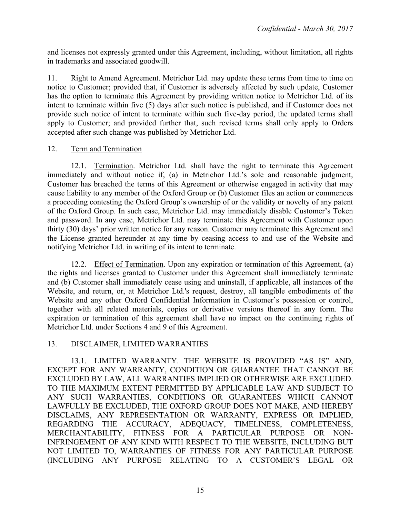and licenses not expressly granted under this Agreement, including, without limitation, all rights in trademarks and associated goodwill.

11. Right to Amend Agreement. Metrichor Ltd. may update these terms from time to time on notice to Customer; provided that, if Customer is adversely affected by such update, Customer has the option to terminate this Agreement by providing written notice to Metrichor Ltd. of its intent to terminate within five (5) days after such notice is published, and if Customer does not provide such notice of intent to terminate within such five-day period, the updated terms shall apply to Customer; and provided further that, such revised terms shall only apply to Orders accepted after such change was published by Metrichor Ltd.

# 12. Term and Termination

12.1. Termination. Metrichor Ltd. shall have the right to terminate this Agreement immediately and without notice if, (a) in Metrichor Ltd.'s sole and reasonable judgment, Customer has breached the terms of this Agreement or otherwise engaged in activity that may cause liability to any member of the Oxford Group or (b) Customer files an action or commences a proceeding contesting the Oxford Group's ownership of or the validity or novelty of any patent of the Oxford Group. In such case, Metrichor Ltd. may immediately disable Customer's Token and password. In any case, Metrichor Ltd. may terminate this Agreement with Customer upon thirty (30) days' prior written notice for any reason. Customer may terminate this Agreement and the License granted hereunder at any time by ceasing access to and use of the Website and notifying Metrichor Ltd. in writing of its intent to terminate.

12.2. Effect of Termination. Upon any expiration or termination of this Agreement, (a) the rights and licenses granted to Customer under this Agreement shall immediately terminate and (b) Customer shall immediately cease using and uninstall, if applicable, all instances of the Website, and return, or, at Metrichor Ltd.'s request, destroy, all tangible embodiments of the Website and any other Oxford Confidential Information in Customer's possession or control, together with all related materials, copies or derivative versions thereof in any form. The expiration or termination of this agreement shall have no impact on the continuing rights of Metrichor Ltd. under Sections 4 and 9 of this Agreement.

## 13. DISCLAIMER, LIMITED WARRANTIES

13.1. LIMITED WARRANTY. THE WEBSITE IS PROVIDED "AS IS" AND, EXCEPT FOR ANY WARRANTY, CONDITION OR GUARANTEE THAT CANNOT BE EXCLUDED BY LAW, ALL WARRANTIES IMPLIED OR OTHERWISE ARE EXCLUDED. TO THE MAXIMUM EXTENT PERMITTED BY APPLICABLE LAW AND SUBJECT TO ANY SUCH WARRANTIES, CONDITIONS OR GUARANTEES WHICH CANNOT LAWFULLY BE EXCLUDED, THE OXFORD GROUP DOES NOT MAKE, AND HEREBY DISCLAIMS, ANY REPRESENTATION OR WARRANTY, EXPRESS OR IMPLIED, REGARDING THE ACCURACY, ADEQUACY, TIMELINESS, COMPLETENESS, MERCHANTABILITY, FITNESS FOR A PARTICULAR PURPOSE OR NON-INFRINGEMENT OF ANY KIND WITH RESPECT TO THE WEBSITE, INCLUDING BUT NOT LIMITED TO, WARRANTIES OF FITNESS FOR ANY PARTICULAR PURPOSE (INCLUDING ANY PURPOSE RELATING TO A CUSTOMER'S LEGAL OR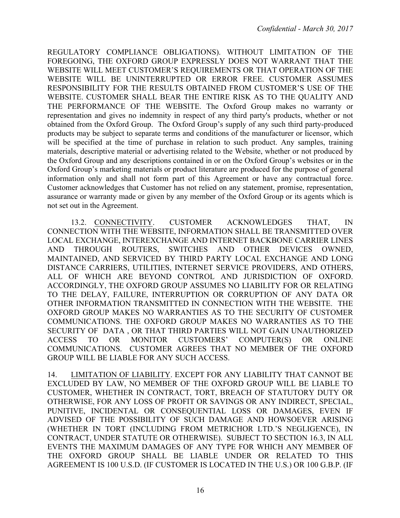REGULATORY COMPLIANCE OBLIGATIONS). WITHOUT LIMITATION OF THE FOREGOING, THE OXFORD GROUP EXPRESSLY DOES NOT WARRANT THAT THE WEBSITE WILL MEET CUSTOMER'S REQUIREMENTS OR THAT OPERATION OF THE WEBSITE WILL BE UNINTERRUPTED OR ERROR FREE. CUSTOMER ASSUMES RESPONSIBILITY FOR THE RESULTS OBTAINED FROM CUSTOMER'S USE OF THE WEBSITE. CUSTOMER SHALL BEAR THE ENTIRE RISK AS TO THE QUALITY AND THE PERFORMANCE OF THE WEBSITE. The Oxford Group makes no warranty or representation and gives no indemnity in respect of any third party's products, whether or not obtained from the Oxford Group. The Oxford Group's supply of any such third party-produced products may be subject to separate terms and conditions of the manufacturer or licensor, which will be specified at the time of purchase in relation to such product. Any samples, training materials, descriptive material or advertising related to the Website, whether or not produced by the Oxford Group and any descriptions contained in or on the Oxford Group's websites or in the Oxford Group's marketing materials or product literature are produced for the purpose of general information only and shall not form part of this Agreement or have any contractual force. Customer acknowledges that Customer has not relied on any statement, promise, representation, assurance or warranty made or given by any member of the Oxford Group or its agents which is not set out in the Agreement.

13.2. CONNECTIVITY. CUSTOMER ACKNOWLEDGES THAT, IN CONNECTION WITH THE WEBSITE, INFORMATION SHALL BE TRANSMITTED OVER LOCAL EXCHANGE, INTEREXCHANGE AND INTERNET BACKBONE CARRIER LINES AND THROUGH ROUTERS, SWITCHES AND OTHER DEVICES OWNED, MAINTAINED, AND SERVICED BY THIRD PARTY LOCAL EXCHANGE AND LONG DISTANCE CARRIERS, UTILITIES, INTERNET SERVICE PROVIDERS, AND OTHERS, ALL OF WHICH ARE BEYOND CONTROL AND JURISDICTION OF OXFORD. ACCORDINGLY, THE OXFORD GROUP ASSUMES NO LIABILITY FOR OR RELATING TO THE DELAY, FAILURE, INTERRUPTION OR CORRUPTION OF ANY DATA OR OTHER INFORMATION TRANSMITTED IN CONNECTION WITH THE WEBSITE. THE OXFORD GROUP MAKES NO WARRANTIES AS TO THE SECURITY OF CUSTOMER COMMUNICATIONS. THE OXFORD GROUP MAKES NO WARRANTIES AS TO THE SECURITY OF DATA , OR THAT THIRD PARTIES WILL NOT GAIN UNAUTHORIZED ACCESS TO OR MONITOR CUSTOMERS' COMPUTER(S) OR ONLINE COMMUNICATIONS. CUSTOMER AGREES THAT NO MEMBER OF THE OXFORD GROUP WILL BE LIABLE FOR ANY SUCH ACCESS.

14. LIMITATION OF LIABILITY. EXCEPT FOR ANY LIABILITY THAT CANNOT BE EXCLUDED BY LAW, NO MEMBER OF THE OXFORD GROUP WILL BE LIABLE TO CUSTOMER, WHETHER IN CONTRACT, TORT, BREACH OF STATUTORY DUTY OR OTHERWISE, FOR ANY LOSS OF PROFIT OR SAVINGS OR ANY INDIRECT, SPECIAL, PUNITIVE, INCIDENTAL OR CONSEQUENTIAL LOSS OR DAMAGES, EVEN IF ADVISED OF THE POSSIBILITY OF SUCH DAMAGE AND HOWSOEVER ARISING (WHETHER IN TORT (INCLUDING FROM METRICHOR LTD.'S NEGLIGENCE), IN CONTRACT, UNDER STATUTE OR OTHERWISE). SUBJECT TO SECTION 16.3, IN ALL EVENTS THE MAXIMUM DAMAGES OF ANY TYPE FOR WHICH ANY MEMBER OF THE OXFORD GROUP SHALL BE LIABLE UNDER OR RELATED TO THIS AGREEMENT IS 100 U.S.D. (IF CUSTOMER IS LOCATED IN THE U.S.) OR 100 G.B.P. (IF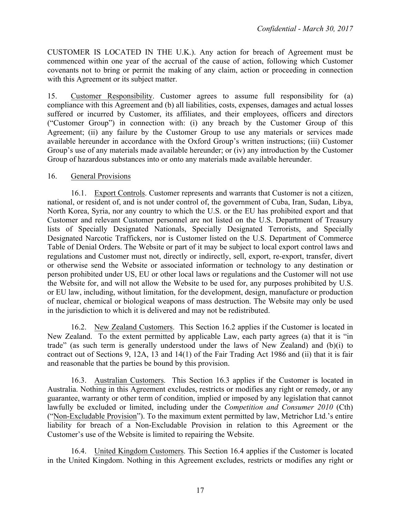CUSTOMER IS LOCATED IN THE U.K.). Any action for breach of Agreement must be commenced within one year of the accrual of the cause of action, following which Customer covenants not to bring or permit the making of any claim, action or proceeding in connection with this Agreement or its subject matter.

15. Customer Responsibility. Customer agrees to assume full responsibility for (a) compliance with this Agreement and (b) all liabilities, costs, expenses, damages and actual losses suffered or incurred by Customer, its affiliates, and their employees, officers and directors ("Customer Group") in connection with: (i) any breach by the Customer Group of this Agreement; (ii) any failure by the Customer Group to use any materials or services made available hereunder in accordance with the Oxford Group's written instructions; (iii) Customer Group's use of any materials made available hereunder; or (iv) any introduction by the Customer Group of hazardous substances into or onto any materials made available hereunder.

## 16. General Provisions

16.1. Export Controls. Customer represents and warrants that Customer is not a citizen, national, or resident of, and is not under control of, the government of Cuba, Iran, Sudan, Libya, North Korea, Syria, nor any country to which the U.S. or the EU has prohibited export and that Customer and relevant Customer personnel are not listed on the U.S. Department of Treasury lists of Specially Designated Nationals, Specially Designated Terrorists, and Specially Designated Narcotic Traffickers, nor is Customer listed on the U.S. Department of Commerce Table of Denial Orders. The Website or part of it may be subject to local export control laws and regulations and Customer must not, directly or indirectly, sell, export, re-export, transfer, divert or otherwise send the Website or associated information or technology to any destination or person prohibited under US, EU or other local laws or regulations and the Customer will not use the Website for, and will not allow the Website to be used for, any purposes prohibited by U.S. or EU law, including, without limitation, for the development, design, manufacture or production of nuclear, chemical or biological weapons of mass destruction. The Website may only be used in the jurisdiction to which it is delivered and may not be redistributed.

16.2. New Zealand Customers. This Section 16.2 applies if the Customer is located in New Zealand. To the extent permitted by applicable Law, each party agrees (a) that it is "in trade" (as such term is generally understood under the laws of New Zealand) and (b)(i) to contract out of Sections 9, 12A, 13 and 14(1) of the Fair Trading Act 1986 and (ii) that it is fair and reasonable that the parties be bound by this provision.

16.3. Australian Customers. This Section 16.3 applies if the Customer is located in Australia. Nothing in this Agreement excludes, restricts or modifies any right or remedy, or any guarantee, warranty or other term of condition, implied or imposed by any legislation that cannot lawfully be excluded or limited, including under the *Competition and Consumer 2010* (Cth) ("Non-Excludable Provision"). To the maximum extent permitted by law, Metrichor Ltd.'s entire liability for breach of a Non-Excludable Provision in relation to this Agreement or the Customer's use of the Website is limited to repairing the Website.

16.4. United Kingdom Customers. This Section 16.4 applies if the Customer is located in the United Kingdom. Nothing in this Agreement excludes, restricts or modifies any right or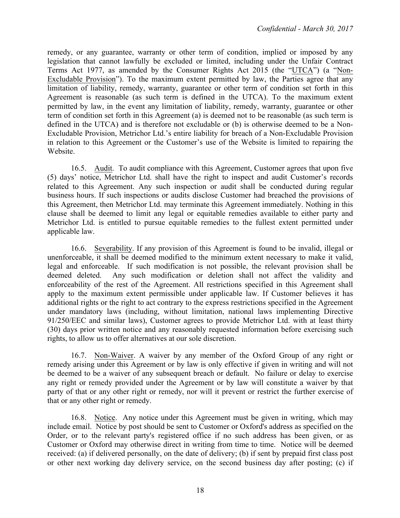remedy, or any guarantee, warranty or other term of condition, implied or imposed by any legislation that cannot lawfully be excluded or limited, including under the Unfair Contract Terms Act 1977, as amended by the Consumer Rights Act 2015 (the "UTCA") (a "Non-Excludable Provision"). To the maximum extent permitted by law, the Parties agree that any limitation of liability, remedy, warranty, guarantee or other term of condition set forth in this Agreement is reasonable (as such term is defined in the UTCA). To the maximum extent permitted by law, in the event any limitation of liability, remedy, warranty, guarantee or other term of condition set forth in this Agreement (a) is deemed not to be reasonable (as such term is defined in the UTCA) and is therefore not excludable or (b) is otherwise deemed to be a Non-Excludable Provision, Metrichor Ltd.'s entire liability for breach of a Non-Excludable Provision in relation to this Agreement or the Customer's use of the Website is limited to repairing the Website.

16.5. Audit. To audit compliance with this Agreement, Customer agrees that upon five (5) days' notice, Metrichor Ltd. shall have the right to inspect and audit Customer's records related to this Agreement. Any such inspection or audit shall be conducted during regular business hours. If such inspections or audits disclose Customer had breached the provisions of this Agreement, then Metrichor Ltd. may terminate this Agreement immediately. Nothing in this clause shall be deemed to limit any legal or equitable remedies available to either party and Metrichor Ltd. is entitled to pursue equitable remedies to the fullest extent permitted under applicable law.

16.6. Severability. If any provision of this Agreement is found to be invalid, illegal or unenforceable, it shall be deemed modified to the minimum extent necessary to make it valid, legal and enforceable. If such modification is not possible, the relevant provision shall be deemed deleted. Any such modification or deletion shall not affect the validity and enforceability of the rest of the Agreement. All restrictions specified in this Agreement shall apply to the maximum extent permissible under applicable law. If Customer believes it has additional rights or the right to act contrary to the express restrictions specified in the Agreement under mandatory laws (including, without limitation, national laws implementing Directive 91/250/EEC and similar laws), Customer agrees to provide Metrichor Ltd. with at least thirty (30) days prior written notice and any reasonably requested information before exercising such rights, to allow us to offer alternatives at our sole discretion.

16.7. Non-Waiver. A waiver by any member of the Oxford Group of any right or remedy arising under this Agreement or by law is only effective if given in writing and will not be deemed to be a waiver of any subsequent breach or default. No failure or delay to exercise any right or remedy provided under the Agreement or by law will constitute a waiver by that party of that or any other right or remedy, nor will it prevent or restrict the further exercise of that or any other right or remedy.

16.8. Notice. Any notice under this Agreement must be given in writing, which may include email. Notice by post should be sent to Customer or Oxford's address as specified on the Order, or to the relevant party's registered office if no such address has been given, or as Customer or Oxford may otherwise direct in writing from time to time. Notice will be deemed received: (a) if delivered personally, on the date of delivery; (b) if sent by prepaid first class post or other next working day delivery service, on the second business day after posting; (c) if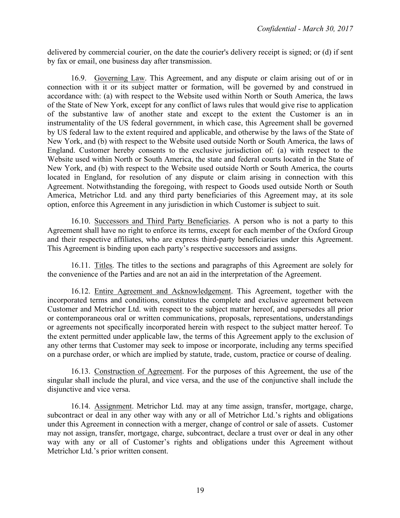delivered by commercial courier, on the date the courier's delivery receipt is signed; or (d) if sent by fax or email, one business day after transmission.

16.9. Governing Law. This Agreement, and any dispute or claim arising out of or in connection with it or its subject matter or formation, will be governed by and construed in accordance with: (a) with respect to the Website used within North or South America, the laws of the State of New York, except for any conflict of laws rules that would give rise to application of the substantive law of another state and except to the extent the Customer is an in instrumentality of the US federal government, in which case, this Agreement shall be governed by US federal law to the extent required and applicable, and otherwise by the laws of the State of New York, and (b) with respect to the Website used outside North or South America, the laws of England. Customer hereby consents to the exclusive jurisdiction of: (a) with respect to the Website used within North or South America, the state and federal courts located in the State of New York, and (b) with respect to the Website used outside North or South America, the courts located in England, for resolution of any dispute or claim arising in connection with this Agreement. Notwithstanding the foregoing, with respect to Goods used outside North or South America, Metrichor Ltd. and any third party beneficiaries of this Agreement may, at its sole option, enforce this Agreement in any jurisdiction in which Customer is subject to suit.

16.10. Successors and Third Party Beneficiaries. A person who is not a party to this Agreement shall have no right to enforce its terms, except for each member of the Oxford Group and their respective affiliates, who are express third-party beneficiaries under this Agreement. This Agreement is binding upon each party's respective successors and assigns.

16.11. Titles. The titles to the sections and paragraphs of this Agreement are solely for the convenience of the Parties and are not an aid in the interpretation of the Agreement.

16.12. Entire Agreement and Acknowledgement. This Agreement, together with the incorporated terms and conditions, constitutes the complete and exclusive agreement between Customer and Metrichor Ltd. with respect to the subject matter hereof, and supersedes all prior or contemporaneous oral or written communications, proposals, representations, understandings or agreements not specifically incorporated herein with respect to the subject matter hereof. To the extent permitted under applicable law, the terms of this Agreement apply to the exclusion of any other terms that Customer may seek to impose or incorporate, including any terms specified on a purchase order, or which are implied by statute, trade, custom, practice or course of dealing.

16.13. Construction of Agreement. For the purposes of this Agreement, the use of the singular shall include the plural, and vice versa, and the use of the conjunctive shall include the disjunctive and vice versa.

16.14. Assignment. Metrichor Ltd. may at any time assign, transfer, mortgage, charge, subcontract or deal in any other way with any or all of Metrichor Ltd.'s rights and obligations under this Agreement in connection with a merger, change of control or sale of assets. Customer may not assign, transfer, mortgage, charge, subcontract, declare a trust over or deal in any other way with any or all of Customer's rights and obligations under this Agreement without Metrichor Ltd.'s prior written consent.